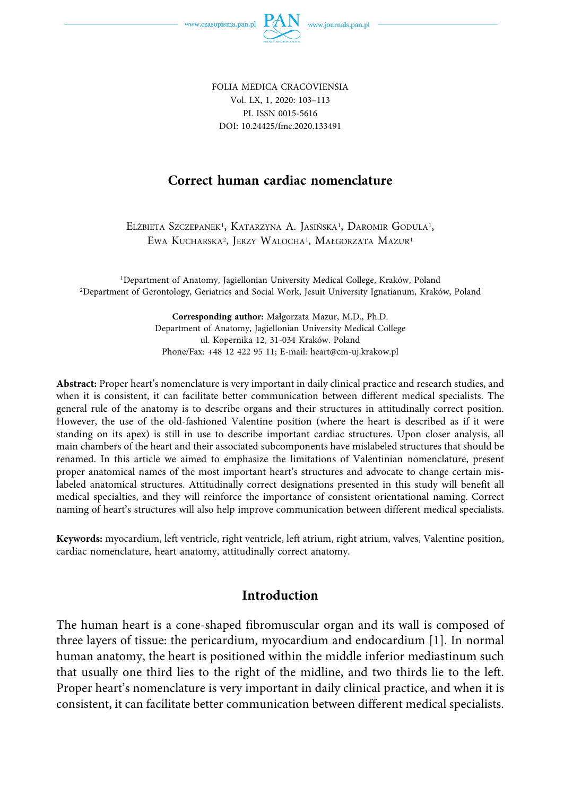

FOLIA MEDICA CRACOVIENSIA Vol. LX, 1, 2020: 103–113 PL ISSN 0015-5616 DOI: 10.24425/fmc.2020.133491

### **Correct human cardiac nomenclature**

ELŻBIETA SZCZEPANEK<sup>1</sup>, KATARZYNA A. JASIŃSKA<sup>1</sup>, DAROMIR GODULA<sup>1</sup>, EWA KUCHARSKA2, JERZY WALOCHA1, MAŁGORZATA MAZUR1

1Department of Anatomy, Jagiellonian University Medical College, Kraków, Poland 2Department of Gerontology, Geriatrics and Social Work, Jesuit University Ignatianum, Kraków, Poland

> **Corresponding author:** Małgorzata Mazur, M.D., Ph.D. Department of Anatomy, Jagiellonian University Medical College ul. Kopernika 12, 31-034 Kraków. Poland Phone/Fax: +48 12 422 95 11; E-mail: heart@cm-uj.krakow.pl

**Abstract:** Proper heart's nomenclature is very important in daily clinical practice and research studies, and when it is consistent, it can facilitate better communication between different medical specialists. The general rule of the anatomy is to describe organs and their structures in attitudinally correct position. However, the use of the old-fashioned Valentine position (where the heart is described as if it were standing on its apex) is still in use to describe important cardiac structures. Upon closer analysis, all main chambers of the heart and their associated subcomponents have mislabeled structures that should be renamed. In this article we aimed to emphasize the limitations of Valentinian nomenclature, present proper anatomical names of the most important heart's structures and advocate to change certain mislabeled anatomical structures. Attitudinally correct designations presented in this study will benefit all medical specialties, and they will reinforce the importance of consistent orientational naming. Correct naming of heart's structures will also help improve communication between different medical specialists.

**Keywords:** myocardium, left ventricle, right ventricle, left atrium, right atrium, valves, Valentine position, cardiac nomenclature, heart anatomy, attitudinally correct anatomy.

#### **Introduction**

The human heart is a cone-shaped fibromuscular organ and its wall is composed of three layers of tissue: the pericardium, myocardium and endocardium [1]. In normal human anatomy, the heart is positioned within the middle inferior mediastinum such that usually one third lies to the right of the midline, and two thirds lie to the left. Proper heart's nomenclature is very important in daily clinical practice, and when it is consistent, it can facilitate better communication between different medical specialists.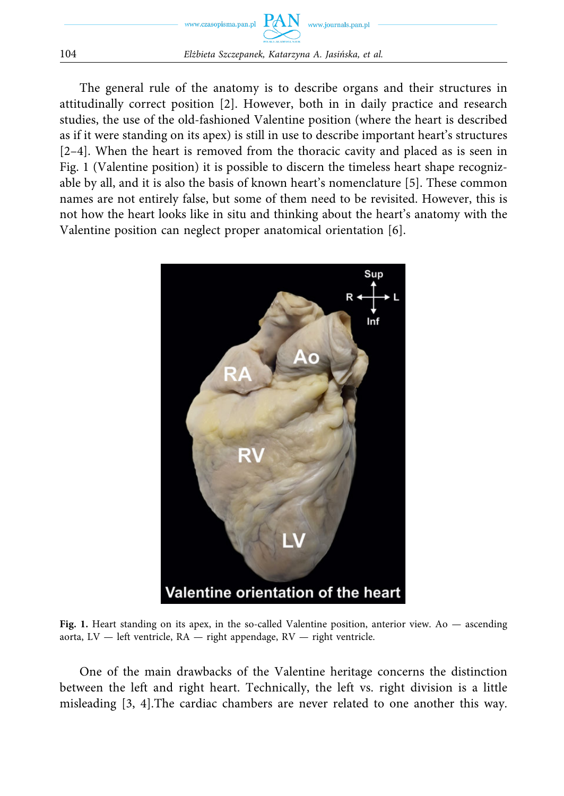

The general rule of the anatomy is to describe organs and their structures in attitudinally correct position [2]. However, both in in daily practice and research studies, the use of the old-fashioned Valentine position (where the heart is described as if it were standing on its apex) is still in use to describe important heart's structures [2–4]. When the heart is removed from the thoracic cavity and placed as is seen in Fig. 1 (Valentine position) it is possible to discern the timeless heart shape recognizable by all, and it is also the basis of known heart's nomenclature [5]. These common names are not entirely false, but some of them need to be revisited. However, this is not how the heart looks like in situ and thinking about the heart's anatomy with the Valentine position can neglect proper anatomical orientation [6].



Fig. 1. Heart standing on its apex, in the so-called Valentine position, anterior view. Ao — ascending aorta,  $LV$  — left ventricle,  $RA$  — right appendage,  $RV$  — right ventricle.

One of the main drawbacks of the Valentine heritage concerns the distinction between the left and right heart. Technically, the left vs. right division is a little misleading [3, 4].The cardiac chambers are never related to one another this way.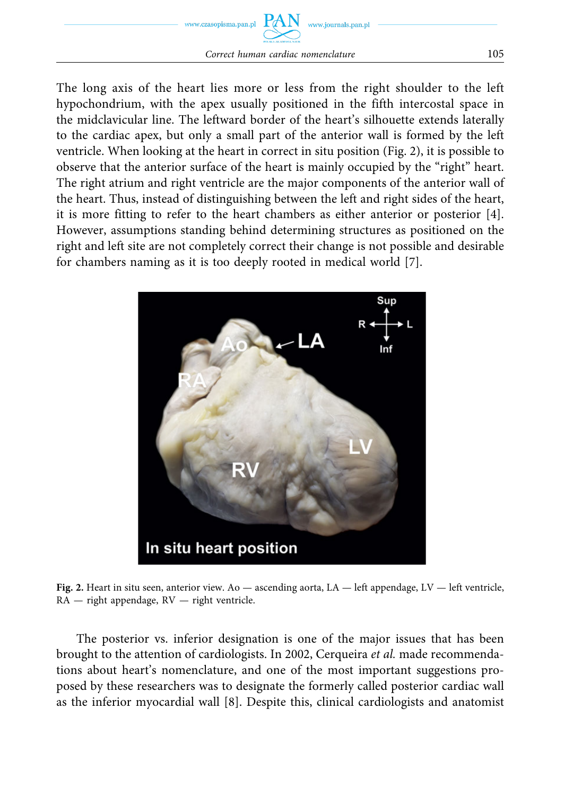

The long axis of the heart lies more or less from the right shoulder to the left hypochondrium, with the apex usually positioned in the fifth intercostal space in the midclavicular line. The leftward border of the heart's silhouette extends laterally to the cardiac apex, but only a small part of the anterior wall is formed by the left ventricle. When looking at the heart in correct in situ position (Fig. 2), it is possible to observe that the anterior surface of the heart is mainly occupied by the "right" heart. The right atrium and right ventricle are the major components of the anterior wall of the heart. Thus, instead of distinguishing between the left and right sides of the heart, it is more fitting to refer to the heart chambers as either anterior or posterior [4]. However, assumptions standing behind determining structures as positioned on the right and left site are not completely correct their change is not possible and desirable for chambers naming as it is too deeply rooted in medical world [7].



**Fig. 2.** Heart in situ seen, anterior view. Ao — ascending aorta, LA — left appendage, LV — left ventricle, RA — right appendage, RV — right ventricle.

The posterior vs. inferior designation is one of the major issues that has been brought to the attention of cardiologists. In 2002, Cerqueira *et al.* made recommendations about heart's nomenclature, and one of the most important suggestions proposed by these researchers was to designate the formerly called posterior cardiac wall as the inferior myocardial wall [8]. Despite this, clinical cardiologists and anatomist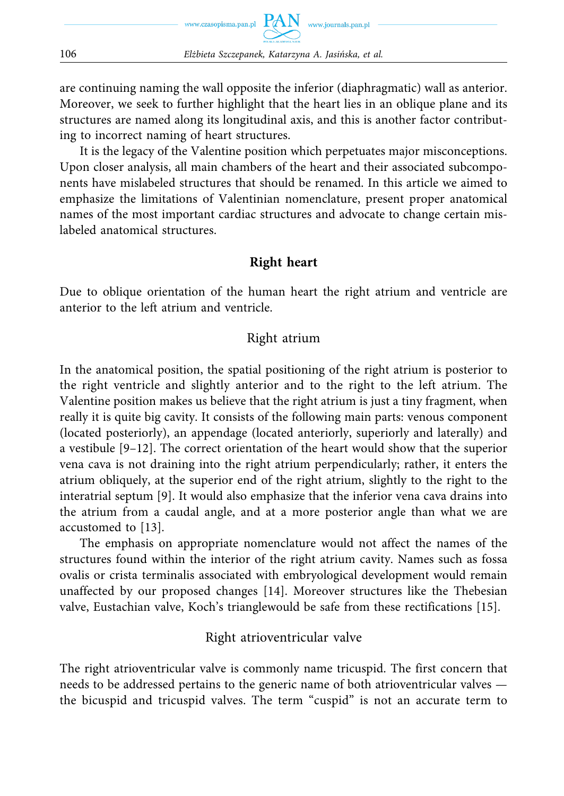are continuing naming the wall opposite the inferior (diaphragmatic) wall as anterior. Moreover, we seek to further highlight that the heart lies in an oblique plane and its structures are named along its longitudinal axis, and this is another factor contributing to incorrect naming of heart structures.

It is the legacy of the Valentine position which perpetuates major misconceptions. Upon closer analysis, all main chambers of the heart and their associated subcomponents have mislabeled structures that should be renamed. In this article we aimed to emphasize the limitations of Valentinian nomenclature, present proper anatomical names of the most important cardiac structures and advocate to change certain mislabeled anatomical structures.

### **Right heart**

Due to oblique orientation of the human heart the right atrium and ventricle are anterior to the left atrium and ventricle.

### Right atrium

In the anatomical position, the spatial positioning of the right atrium is posterior to the right ventricle and slightly anterior and to the right to the left atrium. The Valentine position makes us believe that the right atrium is just a tiny fragment, when really it is quite big cavity. It consists of the following main parts: venous component (located posteriorly), an appendage (located anteriorly, superiorly and laterally) and a vestibule [9–12]. The correct orientation of the heart would show that the superior vena cava is not draining into the right atrium perpendicularly; rather, it enters the atrium obliquely, at the superior end of the right atrium, slightly to the right to the interatrial septum [9]. It would also emphasize that the inferior vena cava drains into the atrium from a caudal angle, and at a more posterior angle than what we are accustomed to [13].

The emphasis on appropriate nomenclature would not affect the names of the structures found within the interior of the right atrium cavity. Names such as fossa ovalis or crista terminalis associated with embryological development would remain unaffected by our proposed changes [14]. Moreover structures like the Thebesian valve, Eustachian valve, Koch's trianglewould be safe from these rectifications [15].

# Right atrioventricular valve

The right atrioventricular valve is commonly name tricuspid. The first concern that needs to be addressed pertains to the generic name of both atrioventricular valves the bicuspid and tricuspid valves. The term "cuspid" is not an accurate term to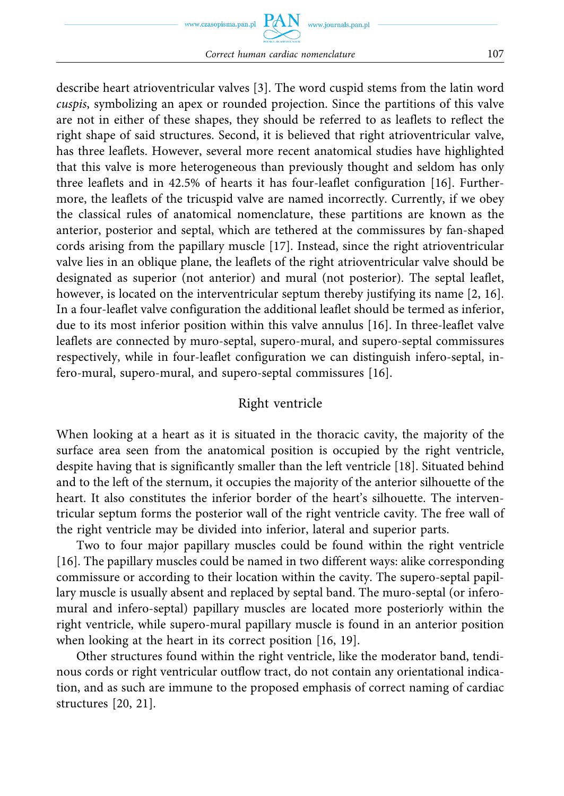describe heart atrioventricular valves [3]. The word cuspid stems from the latin word *cuspis*, symbolizing an apex or rounded projection. Since the partitions of this valve are not in either of these shapes, they should be referred to as leaflets to reflect the right shape of said structures. Second, it is believed that right atrioventricular valve, has three leaflets. However, several more recent anatomical studies have highlighted that this valve is more heterogeneous than previously thought and seldom has only three leaflets and in 42.5% of hearts it has four-leaflet configuration [16]. Furthermore, the leaflets of the tricuspid valve are named incorrectly. Currently, if we obey the classical rules of anatomical nomenclature, these partitions are known as the anterior, posterior and septal, which are tethered at the commissures by fan-shaped cords arising from the papillary muscle [17]. Instead, since the right atrioventricular valve lies in an oblique plane, the leaflets of the right atrioventricular valve should be designated as superior (not anterior) and mural (not posterior). The septal leaflet, however, is located on the interventricular septum thereby justifying its name [2, 16]. In a four-leaflet valve configuration the additional leaflet should be termed as inferior, due to its most inferior position within this valve annulus [16]. In three-leaflet valve leaflets are connected by muro-septal, supero-mural, and supero-septal commissures respectively, while in four-leaflet configuration we can distinguish infero-septal, infero-mural, supero-mural, and supero-septal commissures [16].

## Right ventricle

When looking at a heart as it is situated in the thoracic cavity, the majority of the surface area seen from the anatomical position is occupied by the right ventricle, despite having that is significantly smaller than the left ventricle [18]. Situated behind and to the left of the sternum, it occupies the majority of the anterior silhouette of the heart. It also constitutes the inferior border of the heart's silhouette. The interventricular septum forms the posterior wall of the right ventricle cavity. The free wall of the right ventricle may be divided into inferior, lateral and superior parts.

Two to four major papillary muscles could be found within the right ventricle [16]. The papillary muscles could be named in two different ways: alike corresponding commissure or according to their location within the cavity. The supero-septal papillary muscle is usually absent and replaced by septal band. The muro-septal (or inferomural and infero-septal) papillary muscles are located more posteriorly within the right ventricle, while supero-mural papillary muscle is found in an anterior position when looking at the heart in its correct position [16, 19].

Other structures found within the right ventricle, like the moderator band, tendinous cords or right ventricular outflow tract, do not contain any orientational indication, and as such are immune to the proposed emphasis of correct naming of cardiac structures [20, 21].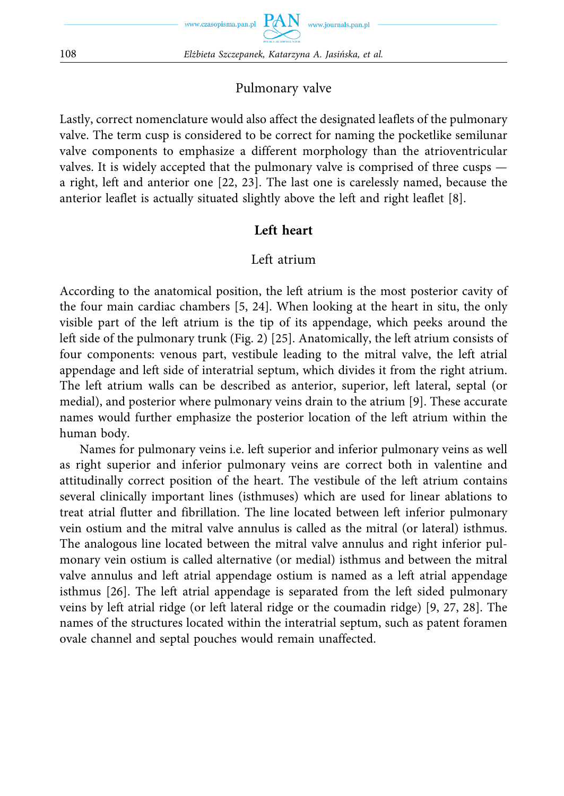#### Pulmonary valve

Lastly, correct nomenclature would also affect the designated leaflets of the pulmonary valve. The term cusp is considered to be correct for naming the pocketlike semilunar valve components to emphasize a different morphology than the atrioventricular valves. It is widely accepted that the pulmonary valve is comprised of three cusps a right, left and anterior one [22, 23]. The last one is carelessly named, because the anterior leaflet is actually situated slightly above the left and right leaflet [8].

#### **Left heart**

#### Left atrium

According to the anatomical position, the left atrium is the most posterior cavity of the four main cardiac chambers [5, 24]. When looking at the heart in situ, the only visible part of the left atrium is the tip of its appendage, which peeks around the left side of the pulmonary trunk (Fig. 2) [25]. Anatomically, the left atrium consists of four components: venous part, vestibule leading to the mitral valve, the left atrial appendage and left side of interatrial septum, which divides it from the right atrium. The left atrium walls can be described as anterior, superior, left lateral, septal (or medial), and posterior where pulmonary veins drain to the atrium [9]. These accurate names would further emphasize the posterior location of the left atrium within the human body.

Names for pulmonary veins i.e. left superior and inferior pulmonary veins as well as right superior and inferior pulmonary veins are correct both in valentine and attitudinally correct position of the heart. The vestibule of the left atrium contains several clinically important lines (isthmuses) which are used for linear ablations to treat atrial flutter and fibrillation. The line located between left inferior pulmonary vein ostium and the mitral valve annulus is called as the mitral (or lateral) isthmus. The analogous line located between the mitral valve annulus and right inferior pulmonary vein ostium is called alternative (or medial) isthmus and between the mitral valve annulus and left atrial appendage ostium is named as a left atrial appendage isthmus [26]. The left atrial appendage is separated from the left sided pulmonary veins by left atrial ridge (or left lateral ridge or the coumadin ridge) [9, 27, 28]. The names of the structures located within the interatrial septum, such as patent foramen ovale channel and septal pouches would remain unaffected.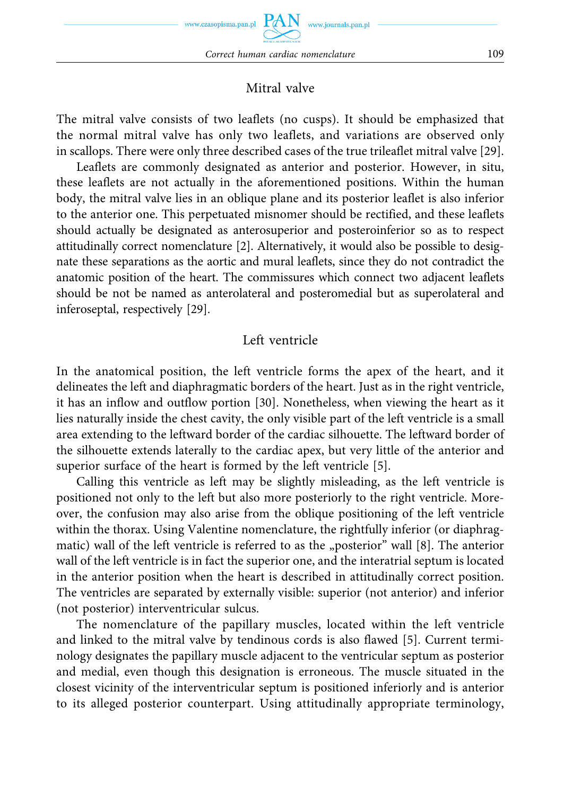# Mitral valve

The mitral valve consists of two leaflets (no cusps). It should be emphasized that the normal mitral valve has only two leaflets, and variations are observed only in scallops. There were only three described cases of the true trileaflet mitral valve [29].

Leaflets are commonly designated as anterior and posterior. However, in situ, these leaflets are not actually in the aforementioned positions. Within the human body, the mitral valve lies in an oblique plane and its posterior leaflet is also inferior to the anterior one. This perpetuated misnomer should be rectified, and these leaflets should actually be designated as anterosuperior and posteroinferior so as to respect attitudinally correct nomenclature [2]. Alternatively, it would also be possible to designate these separations as the aortic and mural leaflets, since they do not contradict the anatomic position of the heart. The commissures which connect two adjacent leaflets should be not be named as anterolateral and posteromedial but as superolateral and inferoseptal, respectively [29].

### Left ventricle

In the anatomical position, the left ventricle forms the apex of the heart, and it delineates the left and diaphragmatic borders of the heart. Just as in the right ventricle, it has an inflow and outflow portion [30]. Nonetheless, when viewing the heart as it lies naturally inside the chest cavity, the only visible part of the left ventricle is a small area extending to the leftward border of the cardiac silhouette. The leftward border of the silhouette extends laterally to the cardiac apex, but very little of the anterior and superior surface of the heart is formed by the left ventricle [5].

Calling this ventricle as left may be slightly misleading, as the left ventricle is positioned not only to the left but also more posteriorly to the right ventricle. Moreover, the confusion may also arise from the oblique positioning of the left ventricle within the thorax. Using Valentine nomenclature, the rightfully inferior (or diaphragmatic) wall of the left ventricle is referred to as the "posterior" wall  $[8]$ . The anterior wall of the left ventricle is in fact the superior one, and the interatrial septum is located in the anterior position when the heart is described in attitudinally correct position. The ventricles are separated by externally visible: superior (not anterior) and inferior (not posterior) interventricular sulcus.

The nomenclature of the papillary muscles, located within the left ventricle and linked to the mitral valve by tendinous cords is also flawed [5]. Current terminology designates the papillary muscle adjacent to the ventricular septum as posterior and medial, even though this designation is erroneous. The muscle situated in the closest vicinity of the interventricular septum is positioned inferiorly and is anterior to its alleged posterior counterpart. Using attitudinally appropriate terminology,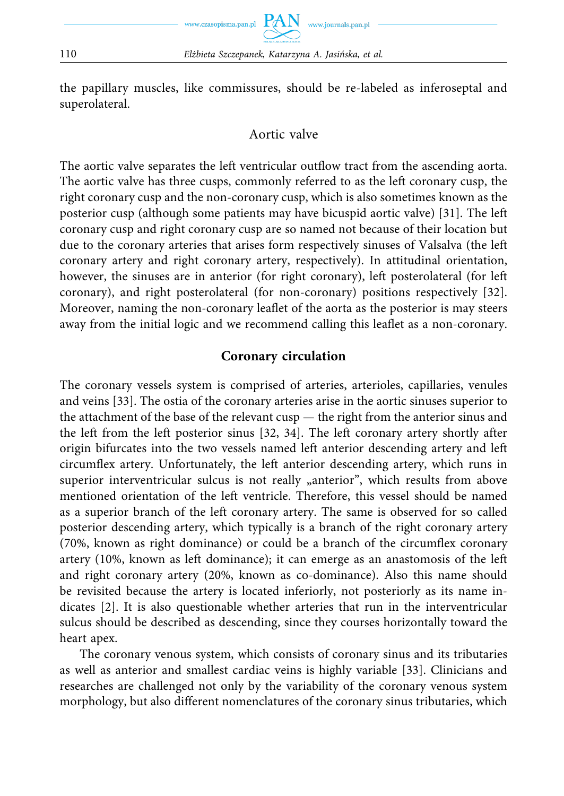the papillary muscles, like commissures, should be re-labeled as inferoseptal and superolateral.

### Aortic valve

The aortic valve separates the left ventricular outflow tract from the ascending aorta. The aortic valve has three cusps, commonly referred to as the left coronary cusp, the right coronary cusp and the non-coronary cusp, which is also sometimes known as the posterior cusp (although some patients may have bicuspid aortic valve) [31]. The left coronary cusp and right coronary cusp are so named not because of their location but due to the coronary arteries that arises form respectively sinuses of Valsalva (the left coronary artery and right coronary artery, respectively). In attitudinal orientation, however, the sinuses are in anterior (for right coronary), left posterolateral (for left coronary), and right posterolateral (for non-coronary) positions respectively [32]. Moreover, naming the non-coronary leaflet of the aorta as the posterior is may steers away from the initial logic and we recommend calling this leaflet as a non-coronary.

### **Coronary circulation**

The coronary vessels system is comprised of arteries, arterioles, capillaries, venules and veins [33]. The ostia of the coronary arteries arise in the aortic sinuses superior to the attachment of the base of the relevant cusp — the right from the anterior sinus and the left from the left posterior sinus [32, 34]. The left coronary artery shortly after origin bifurcates into the two vessels named left anterior descending artery and left circumflex artery. Unfortunately, the left anterior descending artery, which runs in superior interventricular sulcus is not really "anterior", which results from above mentioned orientation of the left ventricle. Therefore, this vessel should be named as a superior branch of the left coronary artery. The same is observed for so called posterior descending artery, which typically is a branch of the right coronary artery (70%, known as right dominance) or could be a branch of the circumflex coronary artery (10%, known as left dominance); it can emerge as an anastomosis of the left and right coronary artery (20%, known as co-dominance). Also this name should be revisited because the artery is located inferiorly, not posteriorly as its name indicates [2]. It is also questionable whether arteries that run in the interventricular sulcus should be described as descending, since they courses horizontally toward the heart apex.

The coronary venous system, which consists of coronary sinus and its tributaries as well as anterior and smallest cardiac veins is highly variable [33]. Clinicians and researches are challenged not only by the variability of the coronary venous system morphology, but also different nomenclatures of the coronary sinus tributaries, which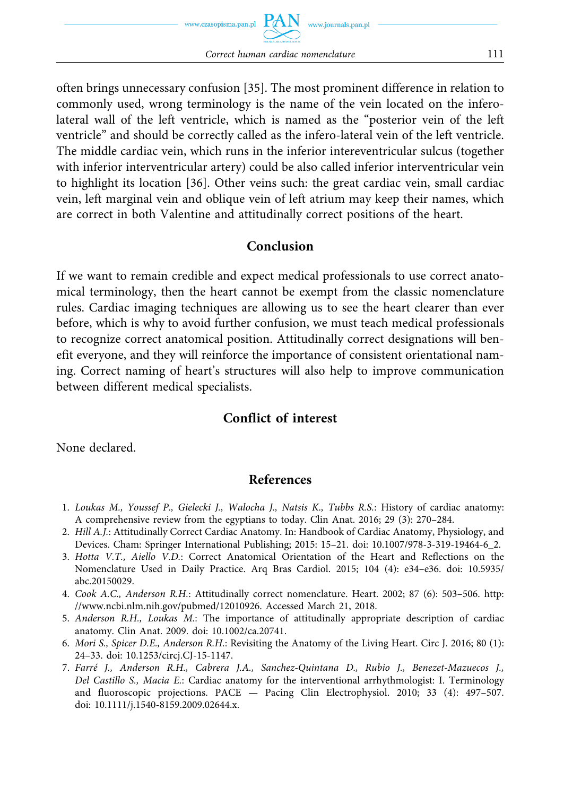often brings unnecessary confusion [35]. The most prominent difference in relation to commonly used, wrong terminology is the name of the vein located on the inferolateral wall of the left ventricle, which is named as the "posterior vein of the left ventricle" and should be correctly called as the infero-lateral vein of the left ventricle. The middle cardiac vein, which runs in the inferior intereventricular sulcus (together with inferior interventricular artery) could be also called inferior interventricular vein to highlight its location [36]. Other veins such: the great cardiac vein, small cardiac vein, left marginal vein and oblique vein of left atrium may keep their names, which are correct in both Valentine and attitudinally correct positions of the heart.

#### **Conclusion**

If we want to remain credible and expect medical professionals to use correct anatomical terminology, then the heart cannot be exempt from the classic nomenclature rules. Cardiac imaging techniques are allowing us to see the heart clearer than ever before, which is why to avoid further confusion, we must teach medical professionals to recognize correct anatomical position. Attitudinally correct designations will benefit everyone, and they will reinforce the importance of consistent orientational naming. Correct naming of heart's structures will also help to improve communication between different medical specialists.

# **Conflict of interest**

None declared.

# **References**

- 1. *Loukas M., Youssef P., Gielecki J., Walocha J., Natsis K., Tubbs R.S.*: History of cardiac anatomy: A comprehensive review from the egyptians to today. Clin Anat. 2016; 29 (3): 270–284.
- 2. *Hill A.J.*: Attitudinally Correct Cardiac Anatomy. In: Handbook of Cardiac Anatomy, Physiology, and Devices. Cham: Springer International Publishing; 2015: 15–21. doi: 10.1007/978-3-319-19464-6\_2.
- 3. *Hotta V.T., Aiello V.D.*: Correct Anatomical Orientation of the Heart and Reflections on the Nomenclature Used in Daily Practice. Arq Bras Cardiol. 2015; 104 (4): e34–e36. doi: 10.5935/ abc.20150029.
- 4. *Cook A.C., Anderson R.H.*: Attitudinally correct nomenclature. Heart. 2002; 87 (6): 503–506. http: //www.ncbi.nlm.nih.gov/pubmed/12010926. Accessed March 21, 2018.
- 5. *Anderson R.H., Loukas M.*: The importance of attitudinally appropriate description of cardiac anatomy. Clin Anat. 2009. doi: 10.1002/ca.20741.
- 6. *Mori S., Spicer D.E., Anderson R.H.*: Revisiting the Anatomy of the Living Heart. Circ J. 2016; 80 (1): 24–33. doi: 10.1253/circj.CJ-15-1147.
- 7. *Farré J., Anderson R.H., Cabrera J.A., Sanchez-Quintana D., Rubio J., Benezet-Mazuecos J., Del Castillo S., Macia E.*: Cardiac anatomy for the interventional arrhythmologist: I. Terminology and fluoroscopic projections. PACE — Pacing Clin Electrophysiol. 2010; 33 (4): 497–507. doi: 10.1111/j.1540-8159.2009.02644.x.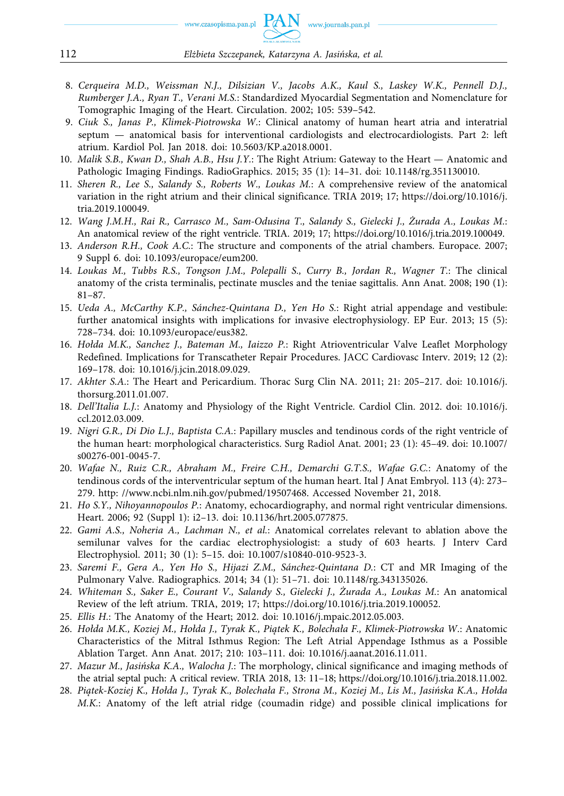- 8. *Cerqueira M.D., Weissman N.J., Dilsizian V., Jacobs A.K., Kaul S., Laskey W.K., Pennell D.J., Rumberger J.A., Ryan T., Verani M.S.*: Standardized Myocardial Segmentation and Nomenclature for Tomographic Imaging of the Heart. Circulation. 2002; 105: 539–542.
- 9. *Ciuk S., Janas P., Klimek-Piotrowska W.*: Clinical anatomy of human heart atria and interatrial septum — anatomical basis for interventional cardiologists and electrocardiologists. Part 2: left atrium. Kardiol Pol. Jan 2018. doi: 10.5603/KP.a2018.0001.
- 10. *Malik S.B., Kwan D., Shah A.B., Hsu J.Y.*: The Right Atrium: Gateway to the Heart Anatomic and Pathologic Imaging Findings. RadioGraphics. 2015; 35 (1): 14–31. doi: 10.1148/rg.351130010.
- 11. *Sheren R., Lee S., Salandy S., Roberts W., Loukas M.*: A comprehensive review of the anatomical variation in the right atrium and their clinical significance. TRIA 2019; 17; https://doi.org/10.1016/j. tria.2019.100049.
- 12. *Wang J.M.H., Rai R., Carrasco M., Sam-Odusina T., Salandy S., Gielecki J., Żurada A., Loukas M.*: An anatomical review of the right ventricle. TRIA. 2019; 17; https://doi.org/10.1016/j.tria.2019.100049.
- 13. *Anderson R.H., Cook A.C.*: The structure and components of the atrial chambers. Europace. 2007; 9 Suppl 6. doi: 10.1093/europace/eum200.
- 14. *Loukas M., Tubbs R.S., Tongson J.M., Polepalli S., Curry B., Jordan R., Wagner T.*: The clinical anatomy of the crista terminalis, pectinate muscles and the teniae sagittalis. Ann Anat. 2008; 190 (1): 81–87.
- 15. *Ueda A., McCarthy K.P., Sánchez-Quintana D., Yen Ho S.*: Right atrial appendage and vestibule: further anatomical insights with implications for invasive electrophysiology. EP Eur. 2013; 15 (5): 728–734. doi: 10.1093/europace/eus382.
- 16. *Hołda M.K., Sanchez J., Bateman M., Iaizzo P.*: Right Atrioventricular Valve Leaflet Morphology Redefined. Implications for Transcatheter Repair Procedures. JACC Cardiovasc Interv. 2019; 12 (2): 169–178. doi: 10.1016/j.jcin.2018.09.029.
- 17. *Akhter S.A.*: The Heart and Pericardium. Thorac Surg Clin NA. 2011; 21: 205–217. doi: 10.1016/j. thorsurg.2011.01.007.
- 18. *Dell'Italia L.J.*: Anatomy and Physiology of the Right Ventricle. Cardiol Clin. 2012. doi: 10.1016/j. ccl.2012.03.009.
- 19. *Nigri G.R., Di Dio L.J., Baptista C.A.*: Papillary muscles and tendinous cords of the right ventricle of the human heart: morphological characteristics. Surg Radiol Anat. 2001; 23 (1): 45–49. doi: 10.1007/ s00276-001-0045-7.
- 20. *Wafae N., Ruiz C.R., Abraham M., Freire C.H., Demarchi G.T.S., Wafae G.C.*: Anatomy of the tendinous cords of the interventricular septum of the human heart. Ital J Anat Embryol. 113 (4): 273– 279. http: //www.ncbi.nlm.nih.gov/pubmed/19507468. Accessed November 21, 2018.
- 21. *Ho S.Y., Nihoyannopoulos P.*: Anatomy, echocardiography, and normal right ventricular dimensions. Heart. 2006; 92 (Suppl 1): i2–13. doi: 10.1136/hrt.2005.077875.
- 22. *Gami A.S., Noheria A., Lachman N., et al.*: Anatomical correlates relevant to ablation above the semilunar valves for the cardiac electrophysiologist: a study of 603 hearts. J Interv Card Electrophysiol. 2011; 30 (1): 5–15. doi: 10.1007/s10840-010-9523-3.
- 23. *Saremi F., Gera A., Yen Ho S., Hijazi Z.M., Sánchez-Quintana D.*: CT and MR Imaging of the Pulmonary Valve. Radiographics. 2014; 34 (1): 51–71. doi: 10.1148/rg.343135026.
- 24. *Whiteman S., Saker E., Courant V., Salandy S., Gielecki J., Żurada A., Loukas M.*: An anatomical Review of the left atrium. TRIA, 2019; 17; https://doi.org/10.1016/j.tria.2019.100052.
- 25. *Ellis H.*: The Anatomy of the Heart; 2012. doi: 10.1016/j.mpaic.2012.05.003.
- 26. *Hołda M.K., Koziej M., Hołda J., Tyrak K., Piątek K., Bolechała F., Klimek-Piotrowska W.*: Anatomic Characteristics of the Mitral Isthmus Region: The Left Atrial Appendage Isthmus as a Possible Ablation Target. Ann Anat. 2017; 210: 103–111. doi: 10.1016/j.aanat.2016.11.011.
- 27. *Mazur M., Jasińska K.A., Walocha J.*: The morphology, clinical significance and imaging methods of the atrial septal puch: A critical review. TRIA 2018, 13: 11–18; https://doi.org/10.1016/j.tria.2018.11.002.
- 28. *Piątek-Koziej K., Hołda J., Tyrak K., Bolechała F., Strona M., Koziej M., Lis M., Jasińska K.A., Hołda M.K.*: Anatomy of the left atrial ridge (coumadin ridge) and possible clinical implications for